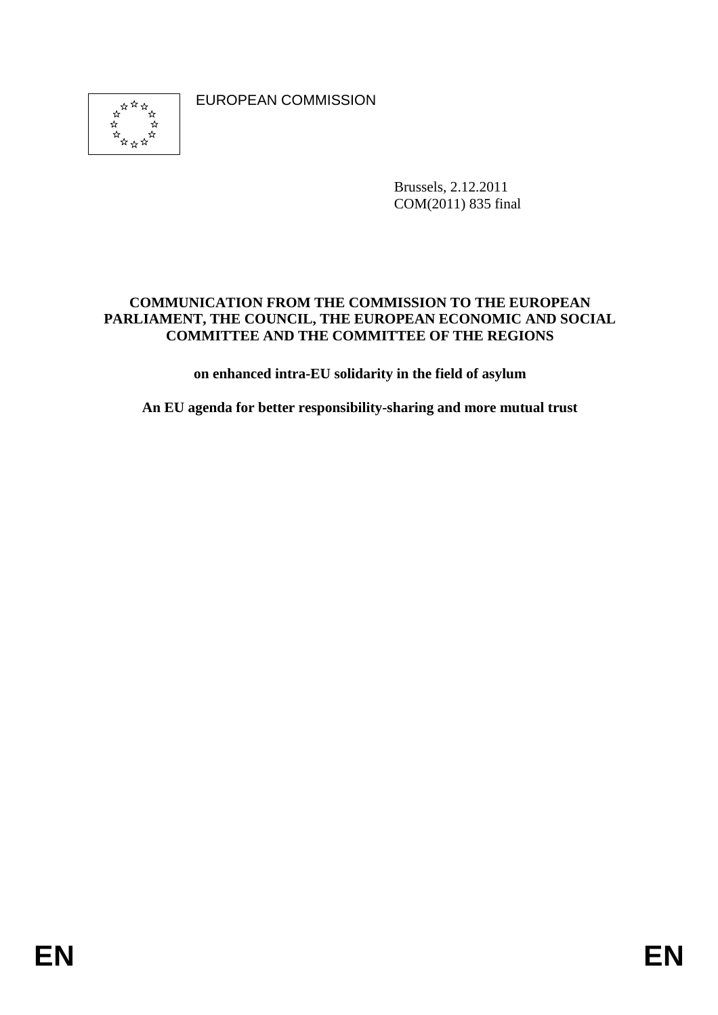\*\*\*\*  EUROPEAN COMMISSION

Brussels, 2.12.2011 COM(2011) 835 final

## **COMMUNICATION FROM THE COMMISSION TO THE EUROPEAN PARLIAMENT, THE COUNCIL, THE EUROPEAN ECONOMIC AND SOCIAL COMMITTEE AND THE COMMITTEE OF THE REGIONS**

**on enhanced intra-EU solidarity in the field of asylum** 

**An EU agenda for better responsibility-sharing and more mutual trust**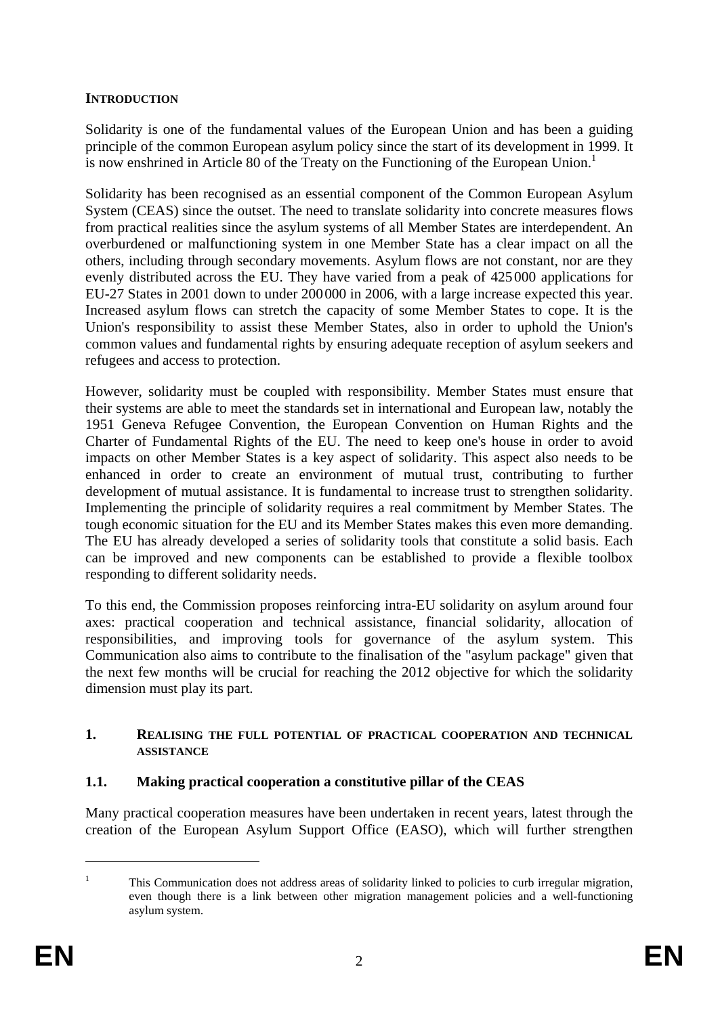## **INTRODUCTION**

Solidarity is one of the fundamental values of the European Union and has been a guiding principle of the common European asylum policy since the start of its development in 1999. It is now enshrined in Article 80 of the Treaty on the Functioning of the European Union.<sup>1</sup>

Solidarity has been recognised as an essential component of the Common European Asylum System (CEAS) since the outset. The need to translate solidarity into concrete measures flows from practical realities since the asylum systems of all Member States are interdependent. An overburdened or malfunctioning system in one Member State has a clear impact on all the others, including through secondary movements. Asylum flows are not constant, nor are they evenly distributed across the EU. They have varied from a peak of 425000 applications for EU-27 States in 2001 down to under 200000 in 2006, with a large increase expected this year. Increased asylum flows can stretch the capacity of some Member States to cope. It is the Union's responsibility to assist these Member States, also in order to uphold the Union's common values and fundamental rights by ensuring adequate reception of asylum seekers and refugees and access to protection.

However, solidarity must be coupled with responsibility. Member States must ensure that their systems are able to meet the standards set in international and European law, notably the 1951 Geneva Refugee Convention, the European Convention on Human Rights and the Charter of Fundamental Rights of the EU. The need to keep one's house in order to avoid impacts on other Member States is a key aspect of solidarity. This aspect also needs to be enhanced in order to create an environment of mutual trust, contributing to further development of mutual assistance. It is fundamental to increase trust to strengthen solidarity. Implementing the principle of solidarity requires a real commitment by Member States. The tough economic situation for the EU and its Member States makes this even more demanding. The EU has already developed a series of solidarity tools that constitute a solid basis. Each can be improved and new components can be established to provide a flexible toolbox responding to different solidarity needs.

To this end, the Commission proposes reinforcing intra-EU solidarity on asylum around four axes: practical cooperation and technical assistance, financial solidarity, allocation of responsibilities, and improving tools for governance of the asylum system. This Communication also aims to contribute to the finalisation of the "asylum package" given that the next few months will be crucial for reaching the 2012 objective for which the solidarity dimension must play its part.

#### **1. REALISING THE FULL POTENTIAL OF PRACTICAL COOPERATION AND TECHNICAL ASSISTANCE**

## **1.1. Making practical cooperation a constitutive pillar of the CEAS**

Many practical cooperation measures have been undertaken in recent years, latest through the creation of the European Asylum Support Office (EASO), which will further strengthen

<sup>1</sup> This Communication does not address areas of solidarity linked to policies to curb irregular migration, even though there is a link between other migration management policies and a well-functioning asylum system.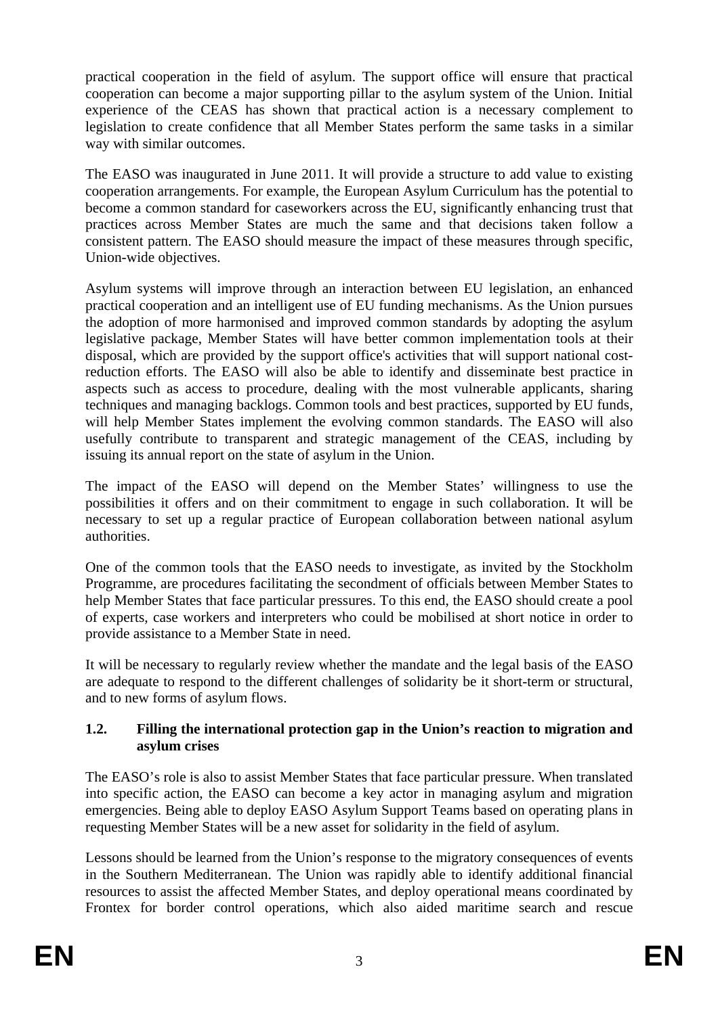practical cooperation in the field of asylum. The support office will ensure that practical cooperation can become a major supporting pillar to the asylum system of the Union. Initial experience of the CEAS has shown that practical action is a necessary complement to legislation to create confidence that all Member States perform the same tasks in a similar way with similar outcomes.

The EASO was inaugurated in June 2011. It will provide a structure to add value to existing cooperation arrangements. For example, the European Asylum Curriculum has the potential to become a common standard for caseworkers across the EU, significantly enhancing trust that practices across Member States are much the same and that decisions taken follow a consistent pattern. The EASO should measure the impact of these measures through specific, Union-wide objectives.

Asylum systems will improve through an interaction between EU legislation, an enhanced practical cooperation and an intelligent use of EU funding mechanisms. As the Union pursues the adoption of more harmonised and improved common standards by adopting the asylum legislative package, Member States will have better common implementation tools at their disposal, which are provided by the support office's activities that will support national costreduction efforts. The EASO will also be able to identify and disseminate best practice in aspects such as access to procedure, dealing with the most vulnerable applicants, sharing techniques and managing backlogs. Common tools and best practices, supported by EU funds, will help Member States implement the evolving common standards. The EASO will also usefully contribute to transparent and strategic management of the CEAS, including by issuing its annual report on the state of asylum in the Union.

The impact of the EASO will depend on the Member States' willingness to use the possibilities it offers and on their commitment to engage in such collaboration. It will be necessary to set up a regular practice of European collaboration between national asylum authorities.

One of the common tools that the EASO needs to investigate, as invited by the Stockholm Programme, are procedures facilitating the secondment of officials between Member States to help Member States that face particular pressures. To this end, the EASO should create a pool of experts, case workers and interpreters who could be mobilised at short notice in order to provide assistance to a Member State in need.

It will be necessary to regularly review whether the mandate and the legal basis of the EASO are adequate to respond to the different challenges of solidarity be it short-term or structural, and to new forms of asylum flows.

## **1.2. Filling the international protection gap in the Union's reaction to migration and asylum crises**

The EASO's role is also to assist Member States that face particular pressure. When translated into specific action, the EASO can become a key actor in managing asylum and migration emergencies. Being able to deploy EASO Asylum Support Teams based on operating plans in requesting Member States will be a new asset for solidarity in the field of asylum.

Lessons should be learned from the Union's response to the migratory consequences of events in the Southern Mediterranean. The Union was rapidly able to identify additional financial resources to assist the affected Member States, and deploy operational means coordinated by Frontex for border control operations, which also aided maritime search and rescue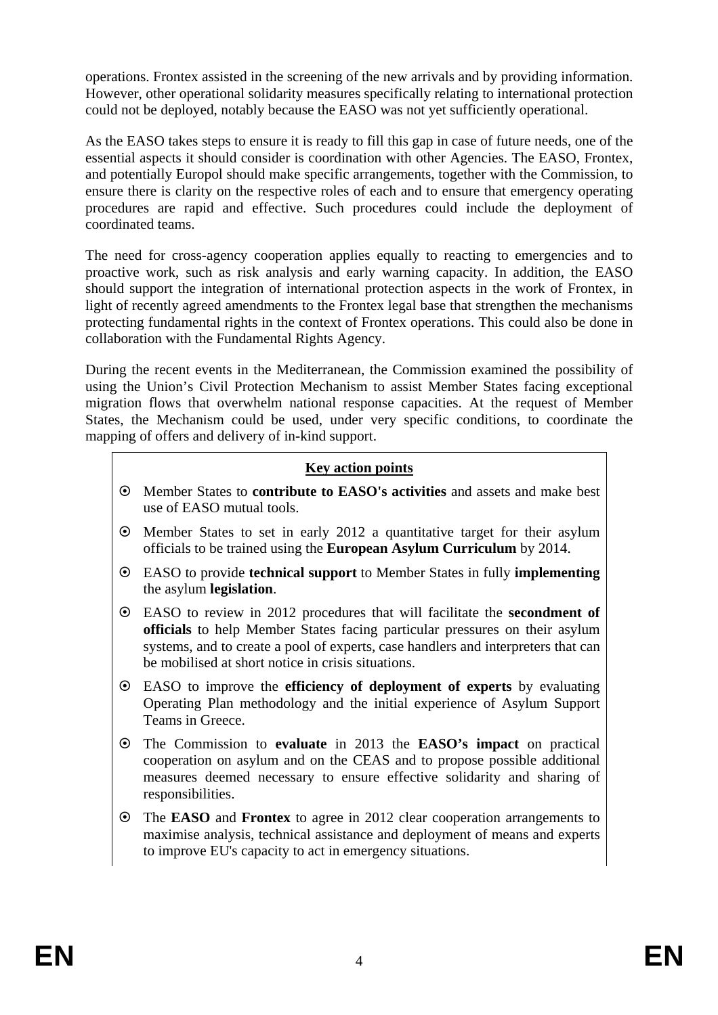operations. Frontex assisted in the screening of the new arrivals and by providing information. However, other operational solidarity measures specifically relating to international protection could not be deployed, notably because the EASO was not yet sufficiently operational.

As the EASO takes steps to ensure it is ready to fill this gap in case of future needs, one of the essential aspects it should consider is coordination with other Agencies. The EASO, Frontex, and potentially Europol should make specific arrangements, together with the Commission, to ensure there is clarity on the respective roles of each and to ensure that emergency operating procedures are rapid and effective. Such procedures could include the deployment of coordinated teams.

The need for cross-agency cooperation applies equally to reacting to emergencies and to proactive work, such as risk analysis and early warning capacity. In addition, the EASO should support the integration of international protection aspects in the work of Frontex, in light of recently agreed amendments to the Frontex legal base that strengthen the mechanisms protecting fundamental rights in the context of Frontex operations. This could also be done in collaboration with the Fundamental Rights Agency.

During the recent events in the Mediterranean, the Commission examined the possibility of using the Union's Civil Protection Mechanism to assist Member States facing exceptional migration flows that overwhelm national response capacities. At the request of Member States, the Mechanism could be used, under very specific conditions, to coordinate the mapping of offers and delivery of in-kind support.

## **Key action points**

- ~ Member States to **contribute to EASO's activities** and assets and make best use of EASO mutual tools.
- $\odot$  Member States to set in early 2012 a quantitative target for their asylum officials to be trained using the **European Asylum Curriculum** by 2014.
- ~ EASO to provide **technical support** to Member States in fully **implementing** the asylum **legislation**.
- ~ EASO to review in 2012 procedures that will facilitate the **secondment of officials** to help Member States facing particular pressures on their asylum systems, and to create a pool of experts, case handlers and interpreters that can be mobilised at short notice in crisis situations.
- ~ EASO to improve the **efficiency of deployment of experts** by evaluating Operating Plan methodology and the initial experience of Asylum Support Teams in Greece.
- ~ The Commission to **evaluate** in 2013 the **EASO's impact** on practical cooperation on asylum and on the CEAS and to propose possible additional measures deemed necessary to ensure effective solidarity and sharing of responsibilities.
- ~ The **EASO** and **Frontex** to agree in 2012 clear cooperation arrangements to maximise analysis, technical assistance and deployment of means and experts to improve EU's capacity to act in emergency situations.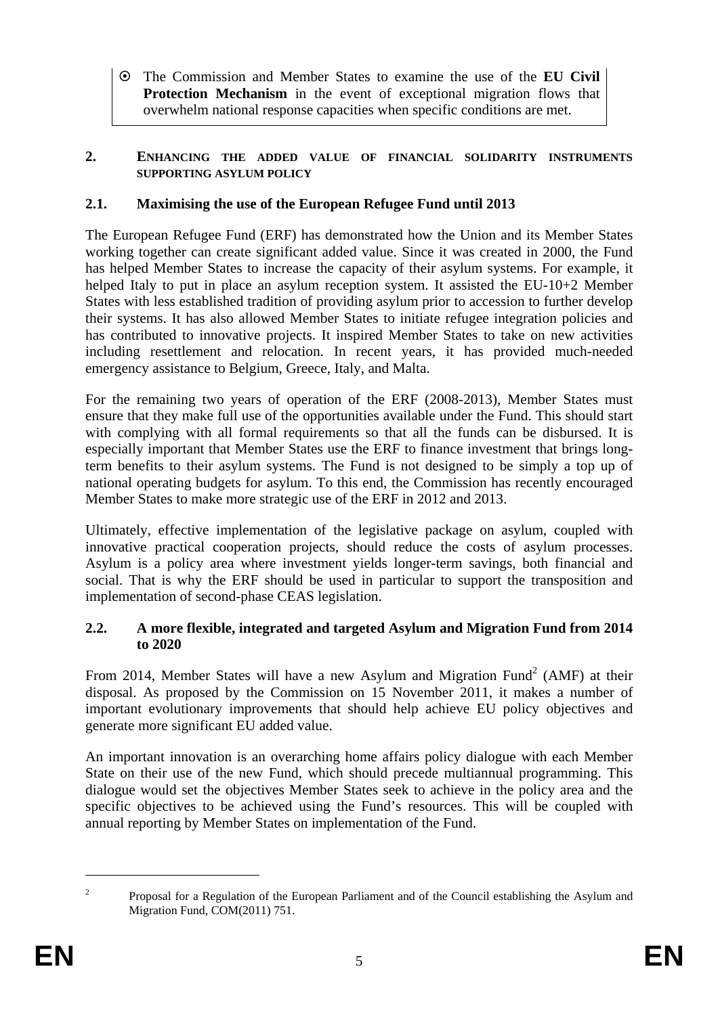~ The Commission and Member States to examine the use of the **EU Civil Protection Mechanism** in the event of exceptional migration flows that overwhelm national response capacities when specific conditions are met.

### **2. ENHANCING THE ADDED VALUE OF FINANCIAL SOLIDARITY INSTRUMENTS SUPPORTING ASYLUM POLICY**

# **2.1. Maximising the use of the European Refugee Fund until 2013**

The European Refugee Fund (ERF) has demonstrated how the Union and its Member States working together can create significant added value. Since it was created in 2000, the Fund has helped Member States to increase the capacity of their asylum systems. For example, it helped Italy to put in place an asylum reception system. It assisted the EU-10+2 Member States with less established tradition of providing asylum prior to accession to further develop their systems. It has also allowed Member States to initiate refugee integration policies and has contributed to innovative projects. It inspired Member States to take on new activities including resettlement and relocation. In recent years, it has provided much-needed emergency assistance to Belgium, Greece, Italy, and Malta.

For the remaining two years of operation of the ERF (2008-2013), Member States must ensure that they make full use of the opportunities available under the Fund. This should start with complying with all formal requirements so that all the funds can be disbursed. It is especially important that Member States use the ERF to finance investment that brings longterm benefits to their asylum systems. The Fund is not designed to be simply a top up of national operating budgets for asylum. To this end, the Commission has recently encouraged Member States to make more strategic use of the ERF in 2012 and 2013.

Ultimately, effective implementation of the legislative package on asylum, coupled with innovative practical cooperation projects, should reduce the costs of asylum processes. Asylum is a policy area where investment yields longer-term savings, both financial and social. That is why the ERF should be used in particular to support the transposition and implementation of second-phase CEAS legislation.

## **2.2. A more flexible, integrated and targeted Asylum and Migration Fund from 2014 to 2020**

From 2014, Member States will have a new Asylum and Migration Fund<sup>2</sup> (AMF) at their disposal. As proposed by the Commission on 15 November 2011, it makes a number of important evolutionary improvements that should help achieve EU policy objectives and generate more significant EU added value.

An important innovation is an overarching home affairs policy dialogue with each Member State on their use of the new Fund, which should precede multiannual programming. This dialogue would set the objectives Member States seek to achieve in the policy area and the specific objectives to be achieved using the Fund's resources. This will be coupled with annual reporting by Member States on implementation of the Fund.

<u>.</u>  $\overline{2}$ 

Proposal for a Regulation of the European Parliament and of the Council establishing the Asylum and Migration Fund, COM(2011) 751.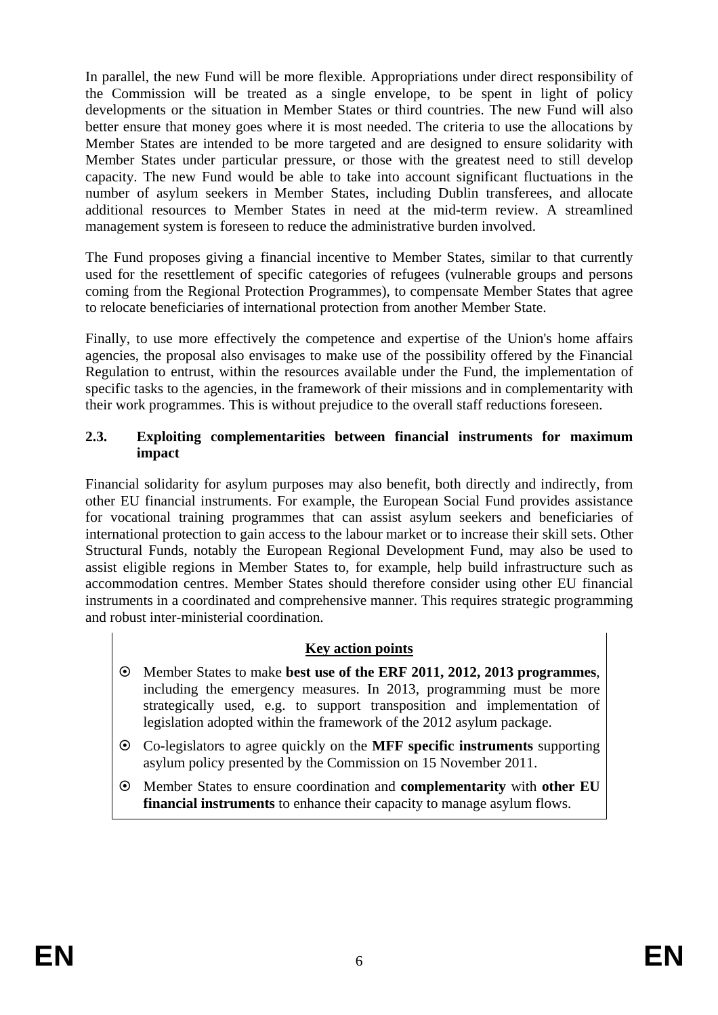In parallel, the new Fund will be more flexible. Appropriations under direct responsibility of the Commission will be treated as a single envelope, to be spent in light of policy developments or the situation in Member States or third countries. The new Fund will also better ensure that money goes where it is most needed. The criteria to use the allocations by Member States are intended to be more targeted and are designed to ensure solidarity with Member States under particular pressure, or those with the greatest need to still develop capacity. The new Fund would be able to take into account significant fluctuations in the number of asylum seekers in Member States, including Dublin transferees, and allocate additional resources to Member States in need at the mid-term review. A streamlined management system is foreseen to reduce the administrative burden involved.

The Fund proposes giving a financial incentive to Member States, similar to that currently used for the resettlement of specific categories of refugees (vulnerable groups and persons coming from the Regional Protection Programmes), to compensate Member States that agree to relocate beneficiaries of international protection from another Member State.

Finally, to use more effectively the competence and expertise of the Union's home affairs agencies, the proposal also envisages to make use of the possibility offered by the Financial Regulation to entrust, within the resources available under the Fund, the implementation of specific tasks to the agencies, in the framework of their missions and in complementarity with their work programmes. This is without prejudice to the overall staff reductions foreseen.

## **2.3. Exploiting complementarities between financial instruments for maximum impact**

Financial solidarity for asylum purposes may also benefit, both directly and indirectly, from other EU financial instruments. For example, the European Social Fund provides assistance for vocational training programmes that can assist asylum seekers and beneficiaries of international protection to gain access to the labour market or to increase their skill sets. Other Structural Funds, notably the European Regional Development Fund, may also be used to assist eligible regions in Member States to, for example, help build infrastructure such as accommodation centres. Member States should therefore consider using other EU financial instruments in a coordinated and comprehensive manner. This requires strategic programming and robust inter-ministerial coordination.

## **Key action points**

- ~ Member States to make **best use of the ERF 2011, 2012, 2013 programmes**, including the emergency measures. In 2013, programming must be more strategically used, e.g. to support transposition and implementation of legislation adopted within the framework of the 2012 asylum package.
- ~ Co-legislators to agree quickly on the **MFF specific instruments** supporting asylum policy presented by the Commission on 15 November 2011.
- ~ Member States to ensure coordination and **complementarity** with **other EU financial instruments** to enhance their capacity to manage asylum flows.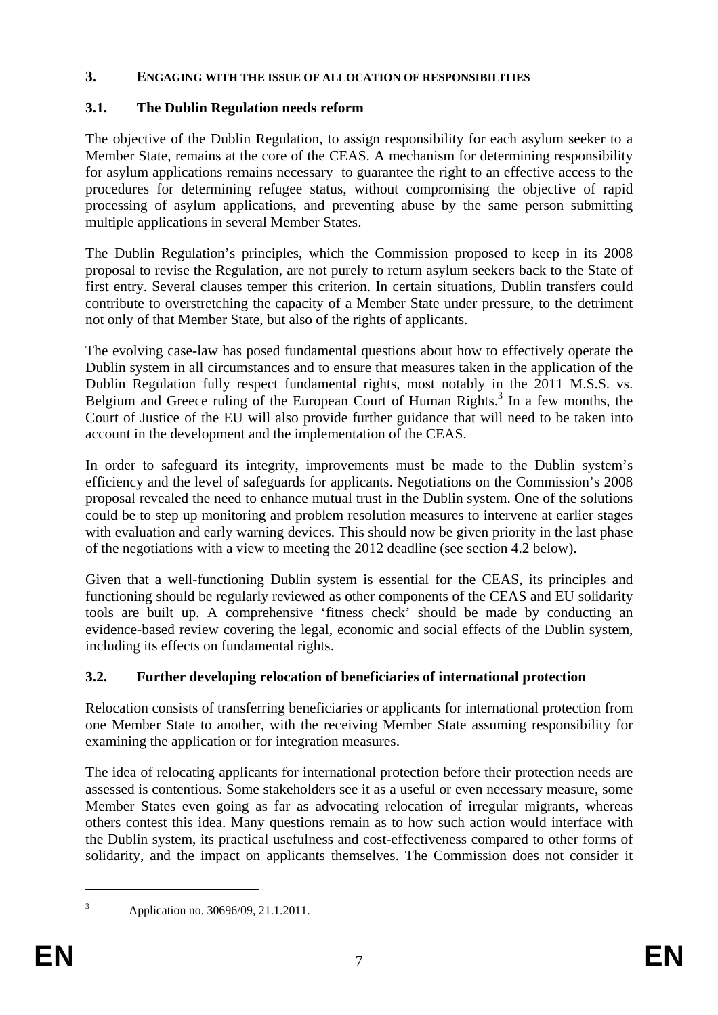## **3. ENGAGING WITH THE ISSUE OF ALLOCATION OF RESPONSIBILITIES**

# **3.1. The Dublin Regulation needs reform**

The objective of the Dublin Regulation, to assign responsibility for each asylum seeker to a Member State, remains at the core of the CEAS. A mechanism for determining responsibility for asylum applications remains necessary to guarantee the right to an effective access to the procedures for determining refugee status, without compromising the objective of rapid processing of asylum applications, and preventing abuse by the same person submitting multiple applications in several Member States.

The Dublin Regulation's principles, which the Commission proposed to keep in its 2008 proposal to revise the Regulation, are not purely to return asylum seekers back to the State of first entry. Several clauses temper this criterion. In certain situations, Dublin transfers could contribute to overstretching the capacity of a Member State under pressure, to the detriment not only of that Member State, but also of the rights of applicants.

The evolving case-law has posed fundamental questions about how to effectively operate the Dublin system in all circumstances and to ensure that measures taken in the application of the Dublin Regulation fully respect fundamental rights, most notably in the 2011 M.S.S. vs. Belgium and Greece ruling of the European Court of Human Rights.<sup>3</sup> In a few months, the Court of Justice of the EU will also provide further guidance that will need to be taken into account in the development and the implementation of the CEAS.

In order to safeguard its integrity, improvements must be made to the Dublin system's efficiency and the level of safeguards for applicants. Negotiations on the Commission's 2008 proposal revealed the need to enhance mutual trust in the Dublin system. One of the solutions could be to step up monitoring and problem resolution measures to intervene at earlier stages with evaluation and early warning devices. This should now be given priority in the last phase of the negotiations with a view to meeting the 2012 deadline (see sectio[n 4.2 below\)](#page-10-0).

Given that a well-functioning Dublin system is essential for the CEAS, its principles and functioning should be regularly reviewed as other components of the CEAS and EU solidarity tools are built up. A comprehensive 'fitness check' should be made by conducting an evidence-based review covering the legal, economic and social effects of the Dublin system, including its effects on fundamental rights.

# **3.2. Further developing relocation of beneficiaries of international protection**

Relocation consists of transferring beneficiaries or applicants for international protection from one Member State to another, with the receiving Member State assuming responsibility for examining the application or for integration measures.

The idea of relocating applicants for international protection before their protection needs are assessed is contentious. Some stakeholders see it as a useful or even necessary measure, some Member States even going as far as advocating relocation of irregular migrants, whereas others contest this idea. Many questions remain as to how such action would interface with the Dublin system, its practical usefulness and cost-effectiveness compared to other forms of solidarity, and the impact on applicants themselves. The Commission does not consider it

3

Application no. 30696/09, 21.1.2011.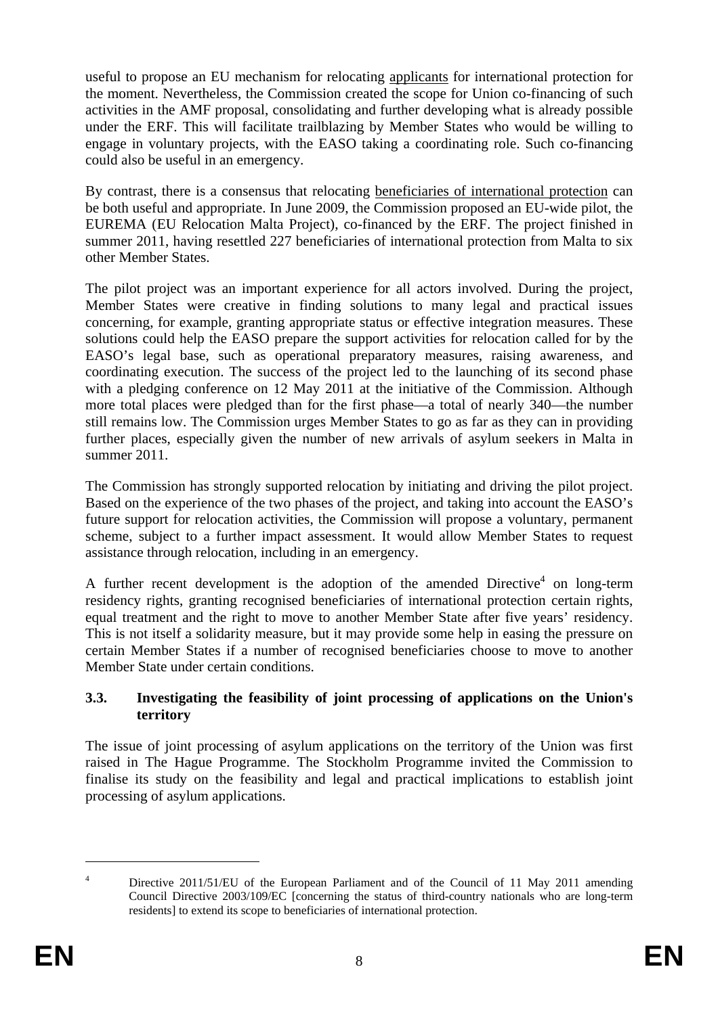useful to propose an EU mechanism for relocating applicants for international protection for the moment. Nevertheless, the Commission created the scope for Union co-financing of such activities in the AMF proposal, consolidating and further developing what is already possible under the ERF. This will facilitate trailblazing by Member States who would be willing to engage in voluntary projects, with the EASO taking a coordinating role. Such co-financing could also be useful in an emergency.

By contrast, there is a consensus that relocating beneficiaries of international protection can be both useful and appropriate. In June 2009, the Commission proposed an EU-wide pilot, the EUREMA (EU Relocation Malta Project), co-financed by the ERF. The project finished in summer 2011, having resettled 227 beneficiaries of international protection from Malta to six other Member States.

The pilot project was an important experience for all actors involved. During the project, Member States were creative in finding solutions to many legal and practical issues concerning, for example, granting appropriate status or effective integration measures. These solutions could help the EASO prepare the support activities for relocation called for by the EASO's legal base, such as operational preparatory measures, raising awareness, and coordinating execution. The success of the project led to the launching of its second phase with a pledging conference on 12 May 2011 at the initiative of the Commission. Although more total places were pledged than for the first phase—a total of nearly 340—the number still remains low. The Commission urges Member States to go as far as they can in providing further places, especially given the number of new arrivals of asylum seekers in Malta in summer 2011.

The Commission has strongly supported relocation by initiating and driving the pilot project. Based on the experience of the two phases of the project, and taking into account the EASO's future support for relocation activities, the Commission will propose a voluntary, permanent scheme, subject to a further impact assessment. It would allow Member States to request assistance through relocation, including in an emergency.

A further recent development is the adoption of the amended  $Dircuitive<sup>4</sup>$  on long-term residency rights, granting recognised beneficiaries of international protection certain rights, equal treatment and the right to move to another Member State after five years' residency. This is not itself a solidarity measure, but it may provide some help in easing the pressure on certain Member States if a number of recognised beneficiaries choose to move to another Member State under certain conditions.

## **3.3. Investigating the feasibility of joint processing of applications on the Union's territory**

The issue of joint processing of asylum applications on the territory of the Union was first raised in The Hague Programme. The Stockholm Programme invited the Commission to finalise its study on the feasibility and legal and practical implications to establish joint processing of asylum applications.

<sup>4</sup> Directive 2011/51/EU of the European Parliament and of the Council of 11 May 2011 amending Council Directive 2003/109/EC [concerning the status of third-country nationals who are long-term residents] to extend its scope to beneficiaries of international protection.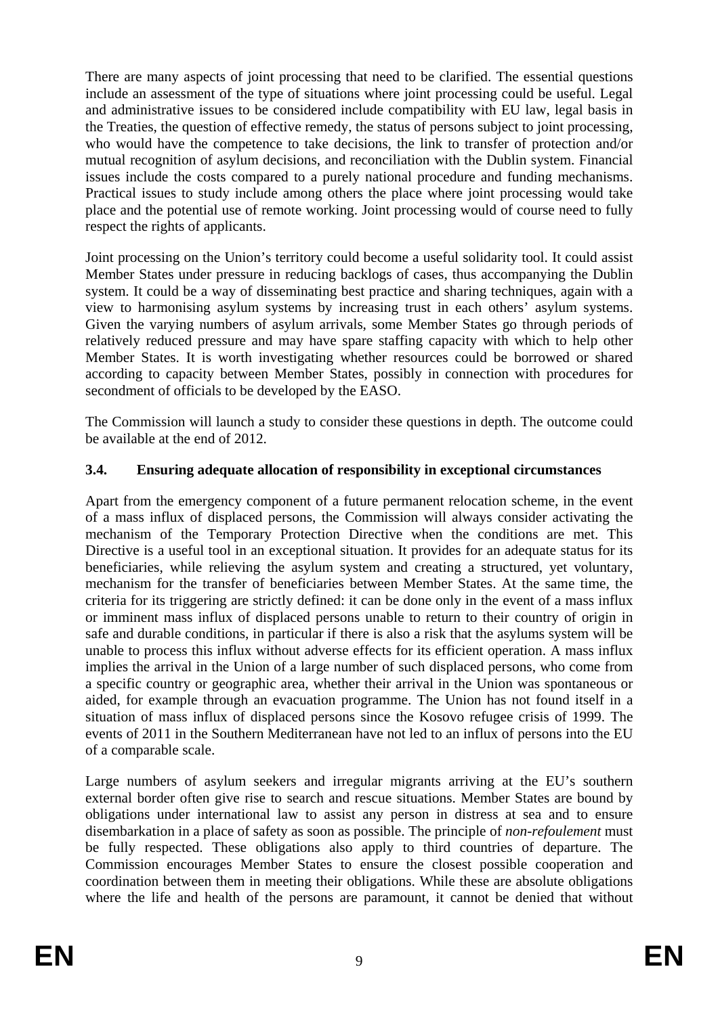There are many aspects of joint processing that need to be clarified. The essential questions include an assessment of the type of situations where joint processing could be useful. Legal and administrative issues to be considered include compatibility with EU law, legal basis in the Treaties, the question of effective remedy, the status of persons subject to joint processing, who would have the competence to take decisions, the link to transfer of protection and/or mutual recognition of asylum decisions, and reconciliation with the Dublin system. Financial issues include the costs compared to a purely national procedure and funding mechanisms. Practical issues to study include among others the place where joint processing would take place and the potential use of remote working. Joint processing would of course need to fully respect the rights of applicants.

Joint processing on the Union's territory could become a useful solidarity tool. It could assist Member States under pressure in reducing backlogs of cases, thus accompanying the Dublin system. It could be a way of disseminating best practice and sharing techniques, again with a view to harmonising asylum systems by increasing trust in each others' asylum systems. Given the varying numbers of asylum arrivals, some Member States go through periods of relatively reduced pressure and may have spare staffing capacity with which to help other Member States. It is worth investigating whether resources could be borrowed or shared according to capacity between Member States, possibly in connection with procedures for secondment of officials to be developed by the EASO.

The Commission will launch a study to consider these questions in depth. The outcome could be available at the end of 2012.

# **3.4. Ensuring adequate allocation of responsibility in exceptional circumstances**

Apart from the emergency component of a future permanent relocation scheme, in the event of a mass influx of displaced persons, the Commission will always consider activating the mechanism of the Temporary Protection Directive when the conditions are met. This Directive is a useful tool in an exceptional situation. It provides for an adequate status for its beneficiaries, while relieving the asylum system and creating a structured, yet voluntary, mechanism for the transfer of beneficiaries between Member States. At the same time, the criteria for its triggering are strictly defined: it can be done only in the event of a mass influx or imminent mass influx of displaced persons unable to return to their country of origin in safe and durable conditions, in particular if there is also a risk that the asylums system will be unable to process this influx without adverse effects for its efficient operation. A mass influx implies the arrival in the Union of a large number of such displaced persons, who come from a specific country or geographic area, whether their arrival in the Union was spontaneous or aided, for example through an evacuation programme. The Union has not found itself in a situation of mass influx of displaced persons since the Kosovo refugee crisis of 1999. The events of 2011 in the Southern Mediterranean have not led to an influx of persons into the EU of a comparable scale.

Large numbers of asylum seekers and irregular migrants arriving at the EU's southern external border often give rise to search and rescue situations. Member States are bound by obligations under international law to assist any person in distress at sea and to ensure disembarkation in a place of safety as soon as possible. The principle of *non-refoulement* must be fully respected. These obligations also apply to third countries of departure. The Commission encourages Member States to ensure the closest possible cooperation and coordination between them in meeting their obligations. While these are absolute obligations where the life and health of the persons are paramount, it cannot be denied that without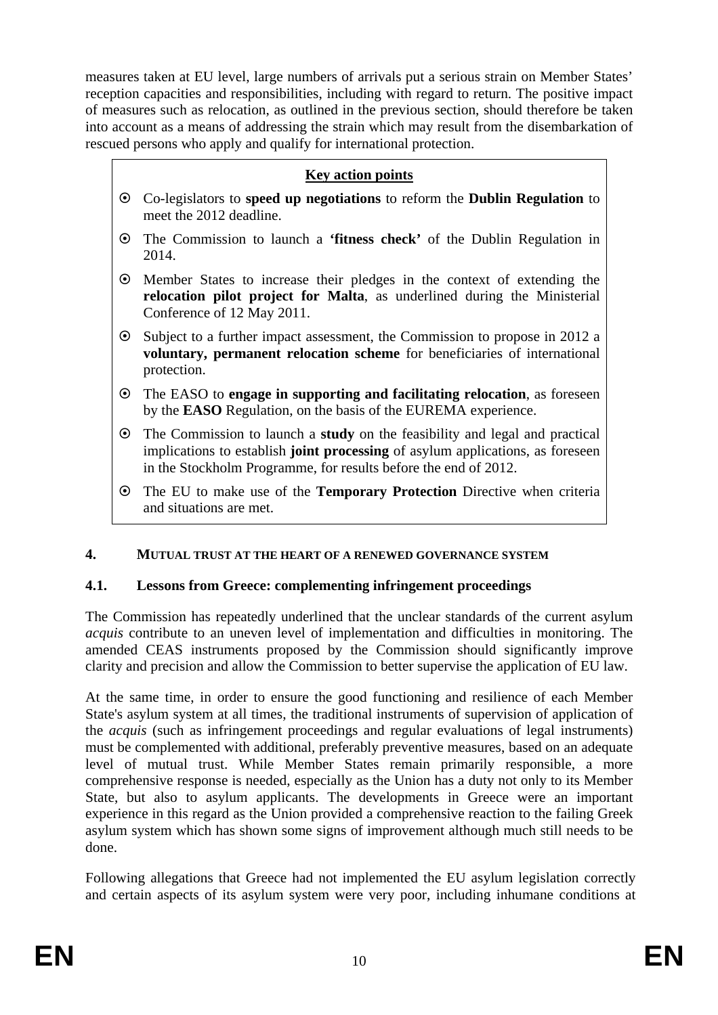measures taken at EU level, large numbers of arrivals put a serious strain on Member States' reception capacities and responsibilities, including with regard to return. The positive impact of measures such as relocation, as outlined in the previous section, should therefore be taken into account as a means of addressing the strain which may result from the disembarkation of rescued persons who apply and qualify for international protection.

# **Key action points**

- ~ Co-legislators to **speed up negotiations** to reform the **Dublin Regulation** to meet the 2012 deadline.
- ~ The Commission to launch a **'fitness check'** of the Dublin Regulation in 2014.
- ~ Member States to increase their pledges in the context of extending the **relocation pilot project for Malta**, as underlined during the Ministerial Conference of 12 May 2011.
- ~ Subject to a further impact assessment, the Commission to propose in 2012 a **voluntary, permanent relocation scheme** for beneficiaries of international protection.
- ~ The EASO to **engage in supporting and facilitating relocation**, as foreseen by the **EASO** Regulation, on the basis of the EUREMA experience.
- ~ The Commission to launch a **study** on the feasibility and legal and practical implications to establish **joint processing** of asylum applications, as foreseen in the Stockholm Programme, for results before the end of 2012.
- ~ The EU to make use of the **Temporary Protection** Directive when criteria and situations are met.

#### **4. MUTUAL TRUST AT THE HEART OF A RENEWED GOVERNANCE SYSTEM**

## **4.1. Lessons from Greece: complementing infringement proceedings**

The Commission has repeatedly underlined that the unclear standards of the current asylum *acquis* contribute to an uneven level of implementation and difficulties in monitoring. The amended CEAS instruments proposed by the Commission should significantly improve clarity and precision and allow the Commission to better supervise the application of EU law.

At the same time, in order to ensure the good functioning and resilience of each Member State's asylum system at all times, the traditional instruments of supervision of application of the *acquis* (such as infringement proceedings and regular evaluations of legal instruments) must be complemented with additional, preferably preventive measures, based on an adequate level of mutual trust. While Member States remain primarily responsible, a more comprehensive response is needed, especially as the Union has a duty not only to its Member State, but also to asylum applicants. The developments in Greece were an important experience in this regard as the Union provided a comprehensive reaction to the failing Greek asylum system which has shown some signs of improvement although much still needs to be done.

Following allegations that Greece had not implemented the EU asylum legislation correctly and certain aspects of its asylum system were very poor, including inhumane conditions at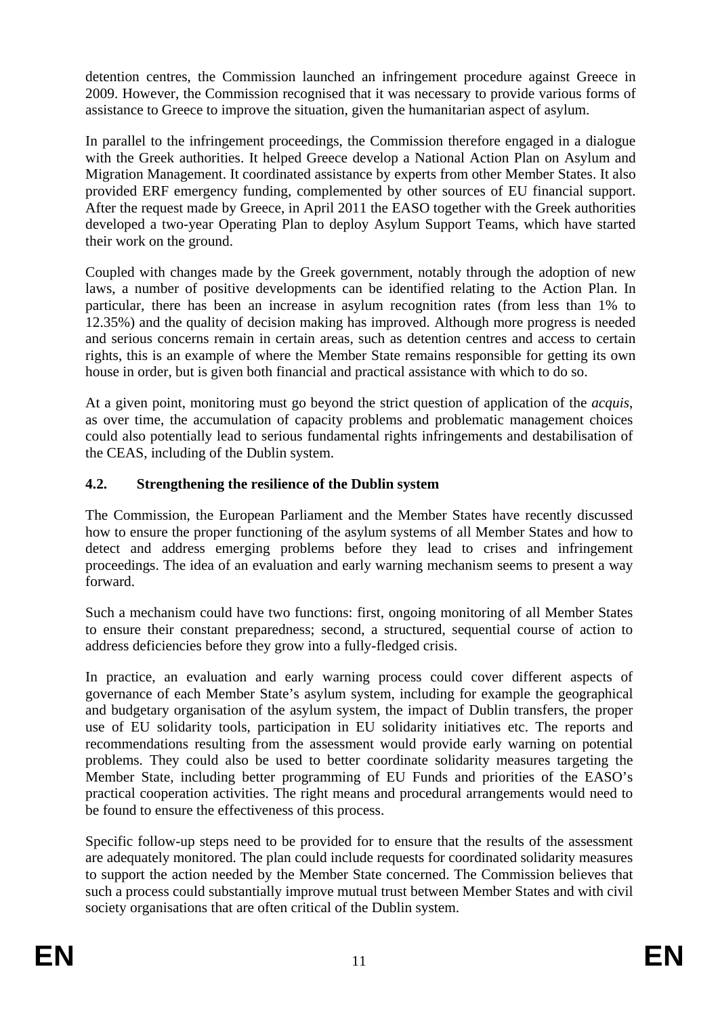detention centres, the Commission launched an infringement procedure against Greece in 2009. However, the Commission recognised that it was necessary to provide various forms of assistance to Greece to improve the situation, given the humanitarian aspect of asylum.

In parallel to the infringement proceedings, the Commission therefore engaged in a dialogue with the Greek authorities. It helped Greece develop a National Action Plan on Asylum and Migration Management. It coordinated assistance by experts from other Member States. It also provided ERF emergency funding, complemented by other sources of EU financial support. After the request made by Greece, in April 2011 the EASO together with the Greek authorities developed a two-year Operating Plan to deploy Asylum Support Teams, which have started their work on the ground.

Coupled with changes made by the Greek government, notably through the adoption of new laws, a number of positive developments can be identified relating to the Action Plan. In particular, there has been an increase in asylum recognition rates (from less than 1% to 12.35%) and the quality of decision making has improved. Although more progress is needed and serious concerns remain in certain areas, such as detention centres and access to certain rights, this is an example of where the Member State remains responsible for getting its own house in order, but is given both financial and practical assistance with which to do so.

At a given point, monitoring must go beyond the strict question of application of the *acquis*, as over time, the accumulation of capacity problems and problematic management choices could also potentially lead to serious fundamental rights infringements and destabilisation of the CEAS, including of the Dublin system.

# <span id="page-10-0"></span>**4.2. Strengthening the resilience of the Dublin system**

The Commission, the European Parliament and the Member States have recently discussed how to ensure the proper functioning of the asylum systems of all Member States and how to detect and address emerging problems before they lead to crises and infringement proceedings. The idea of an evaluation and early warning mechanism seems to present a way forward.

Such a mechanism could have two functions: first, ongoing monitoring of all Member States to ensure their constant preparedness; second, a structured, sequential course of action to address deficiencies before they grow into a fully-fledged crisis.

In practice, an evaluation and early warning process could cover different aspects of governance of each Member State's asylum system, including for example the geographical and budgetary organisation of the asylum system, the impact of Dublin transfers, the proper use of EU solidarity tools, participation in EU solidarity initiatives etc. The reports and recommendations resulting from the assessment would provide early warning on potential problems. They could also be used to better coordinate solidarity measures targeting the Member State, including better programming of EU Funds and priorities of the EASO's practical cooperation activities. The right means and procedural arrangements would need to be found to ensure the effectiveness of this process.

Specific follow-up steps need to be provided for to ensure that the results of the assessment are adequately monitored. The plan could include requests for coordinated solidarity measures to support the action needed by the Member State concerned. The Commission believes that such a process could substantially improve mutual trust between Member States and with civil society organisations that are often critical of the Dublin system.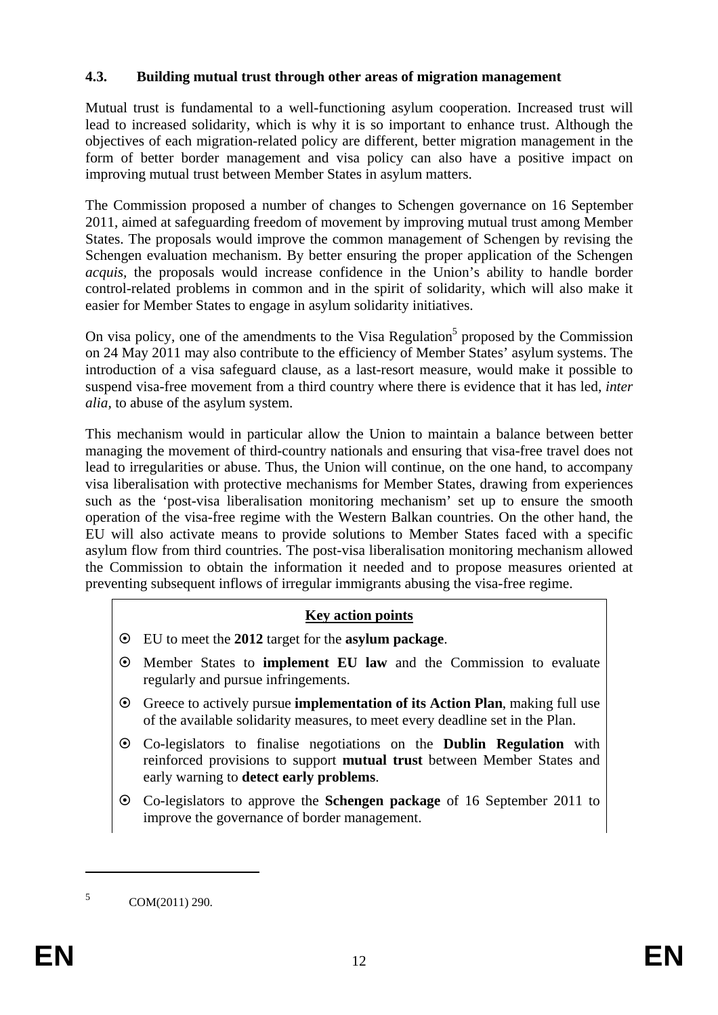## **4.3. Building mutual trust through other areas of migration management**

Mutual trust is fundamental to a well-functioning asylum cooperation. Increased trust will lead to increased solidarity, which is why it is so important to enhance trust. Although the objectives of each migration-related policy are different, better migration management in the form of better border management and visa policy can also have a positive impact on improving mutual trust between Member States in asylum matters.

The Commission proposed a number of changes to Schengen governance on 16 September 2011, aimed at safeguarding freedom of movement by improving mutual trust among Member States. The proposals would improve the common management of Schengen by revising the Schengen evaluation mechanism. By better ensuring the proper application of the Schengen *acquis,* the proposals would increase confidence in the Union's ability to handle border control-related problems in common and in the spirit of solidarity, which will also make it easier for Member States to engage in asylum solidarity initiatives.

On visa policy, one of the amendments to the Visa Regulation<sup>5</sup> proposed by the Commission on 24 May 2011 may also contribute to the efficiency of Member States' asylum systems. The introduction of a visa safeguard clause, as a last-resort measure, would make it possible to suspend visa-free movement from a third country where there is evidence that it has led, *inter alia,* to abuse of the asylum system.

This mechanism would in particular allow the Union to maintain a balance between better managing the movement of third-country nationals and ensuring that visa-free travel does not lead to irregularities or abuse. Thus, the Union will continue, on the one hand, to accompany visa liberalisation with protective mechanisms for Member States, drawing from experiences such as the 'post-visa liberalisation monitoring mechanism' set up to ensure the smooth operation of the visa-free regime with the Western Balkan countries. On the other hand, the EU will also activate means to provide solutions to Member States faced with a specific asylum flow from third countries. The post-visa liberalisation monitoring mechanism allowed the Commission to obtain the information it needed and to propose measures oriented at preventing subsequent inflows of irregular immigrants abusing the visa-free regime.

#### **Key action points**

- ~ EU to meet the **2012** target for the **asylum package**.
- ~ Member States to **implement EU law** and the Commission to evaluate regularly and pursue infringements.
- ~ Greece to actively pursue **implementation of its Action Plan**, making full use of the available solidarity measures, to meet every deadline set in the Plan.
- ~ Co-legislators to finalise negotiations on the **Dublin Regulation** with reinforced provisions to support **mutual trust** between Member States and early warning to **detect early problems**.
- ~ Co-legislators to approve the **Schengen package** of 16 September 2011 to improve the governance of border management.

 $5$  COM(2011) 290.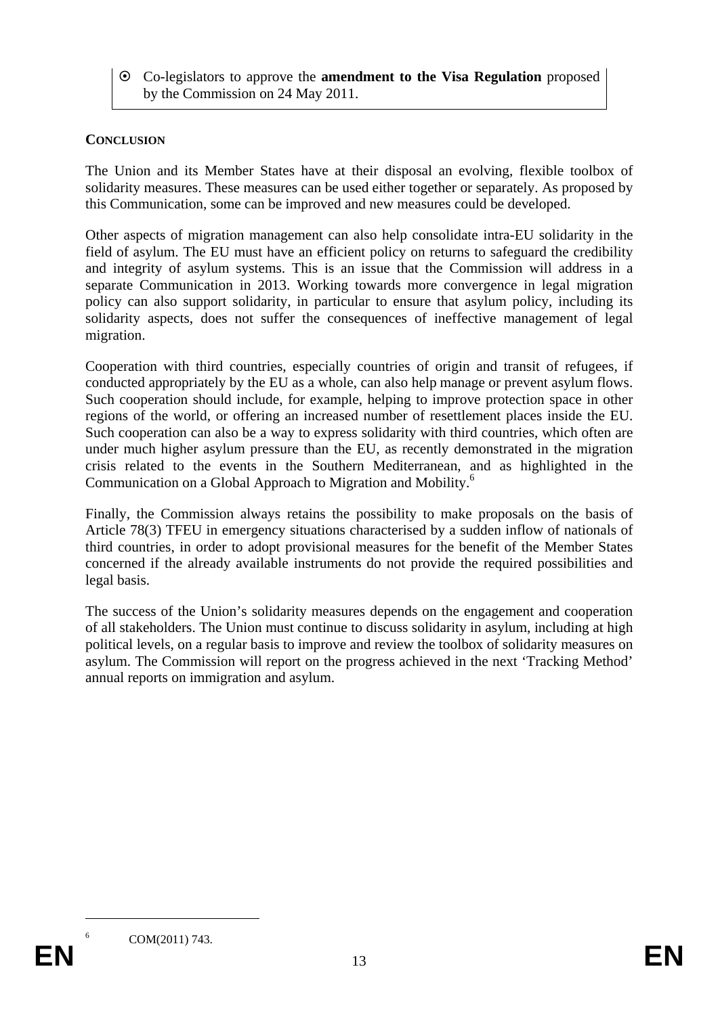~ Co-legislators to approve the **amendment to the Visa Regulation** proposed by the Commission on 24 May 2011.

## **CONCLUSION**

The Union and its Member States have at their disposal an evolving, flexible toolbox of solidarity measures. These measures can be used either together or separately. As proposed by this Communication, some can be improved and new measures could be developed.

Other aspects of migration management can also help consolidate intra-EU solidarity in the field of asylum. The EU must have an efficient policy on returns to safeguard the credibility and integrity of asylum systems. This is an issue that the Commission will address in a separate Communication in 2013. Working towards more convergence in legal migration policy can also support solidarity, in particular to ensure that asylum policy, including its solidarity aspects, does not suffer the consequences of ineffective management of legal migration.

Cooperation with third countries, especially countries of origin and transit of refugees, if conducted appropriately by the EU as a whole, can also help manage or prevent asylum flows. Such cooperation should include, for example, helping to improve protection space in other regions of the world, or offering an increased number of resettlement places inside the EU. Such cooperation can also be a way to express solidarity with third countries, which often are under much higher asylum pressure than the EU, as recently demonstrated in the migration crisis related to the events in the Southern Mediterranean, and as highlighted in the Communication on a Global Approach to Migration and Mobility.<sup>6</sup>

Finally, the Commission always retains the possibility to make proposals on the basis of Article 78(3) TFEU in emergency situations characterised by a sudden inflow of nationals of third countries, in order to adopt provisional measures for the benefit of the Member States concerned if the already available instruments do not provide the required possibilities and legal basis.

The success of the Union's solidarity measures depends on the engagement and cooperation of all stakeholders. The Union must continue to discuss solidarity in asylum, including at high political levels, on a regular basis to improve and review the toolbox of solidarity measures on asylum. The Commission will report on the progress achieved in the next 'Tracking Method' annual reports on immigration and asylum.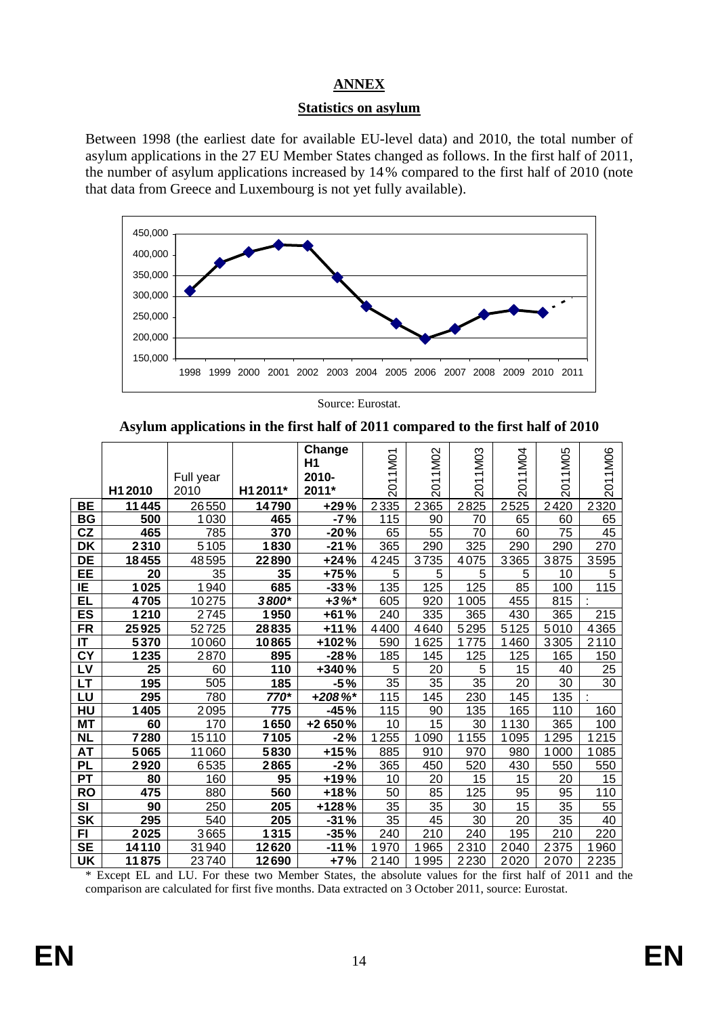# **ANNEX**

## **Statistics on asylum**

Between 1998 (the earliest date for available EU-level data) and 2010, the total number of asylum applications in the 27 EU Member States changed as follows. In the first half of 2011, the number of asylum applications increased by 14% compared to the first half of 2010 (note that data from Greece and Luxembourg is not yet fully available).



Source: Eurostat.

**Asylum applications in the first half of 2011 compared to the first half of 2010** 

|                          |                 | Full year |          | Change<br>Η1<br>2010- | 2011M01         | 2011M02 | 2011M03         | 2011M04         | 2011M05         | 2011M06         |
|--------------------------|-----------------|-----------|----------|-----------------------|-----------------|---------|-----------------|-----------------|-----------------|-----------------|
|                          | H1 2010         | 2010      | H1 2011* | 2011*                 |                 |         |                 |                 |                 |                 |
| <b>BE</b>                | 11445           | 26550     | 14790    | $+29%$                | 2335            | 2365    | 2825            | 2525            | 2420            | 2320            |
| BG                       | 500             | 1030      | 465      | $-7%$                 | 115             | 90      | 70              | 65              | 60              | 65              |
| CZ                       | 465             | 785       | 370      | $-20%$                | 65              | 55      | $\overline{70}$ | 60              | $\overline{75}$ | 45              |
| <b>DK</b>                | 2310            | 5105      | 1830     | $-21%$                | 365             | 290     | 325             | 290             | 290             | 270             |
| $\overline{DE}$          | 18455           | 48595     | 22890    | $+24%$                | 4245            | 3735    | 4075            | 3365            | 3875            | 3595            |
| EE                       | 20              | 35        | 35       | +75%                  | 5               | 5       | 5               | 5               | 10              | 5               |
| IE                       | 1025            | 1940      | 685      | $-33%$                | 135             | 125     | 125             | 85              | 100             | 115             |
| EL                       | 4705            | 10275     | 3800*    | $+3\%$ *              | 605             | 920     | 1005            | 455             | 815             |                 |
| $\overline{\mathsf{ES}}$ | 1210            | 2745      | 1950     | $+61%$                | 240             | 335     | 365             | 430             | 365             | 215             |
| <b>FR</b>                | 25925           | 52725     | 28835    | $+11%$                | 4400            | 4640    | 5295            | 5125            | 5010            | 4365            |
| IT                       | 5370            | 10060     | 10865    | +102%                 | 590             | 625     | 1775            | 1460            | 3305            | 2110            |
| <b>CY</b>                | 1235            | 2870      | 895      | $-28%$                | 185             | 145     | 125             | 125             | 165             | 150             |
| LV                       | $\overline{25}$ | 60        | 110      | +340%                 | 5               | 20      | 5               | 15              | 40              | 25              |
| $\overline{\mathsf{LT}}$ | 195             | 505       | 185      | $-5%$                 | $\overline{35}$ | 35      | 35              | $\overline{20}$ | 30              | $\overline{30}$ |
| LU                       | 295             | 780       | 770*     | $+208\%$              | 115             | 145     | 230             | 145             | 135             |                 |
| HU                       | 1405            | 2095      | 775      | $-45%$                | 115             | 90      | 135             | 165             | 110             | 160             |
| <b>MT</b>                | 60              | 170       | 1650     | +2 650%               | 10              | 15      | 30              | 1130            | 365             | 100             |
| <b>NL</b>                | 7280            | 15110     | 7105     | $-2%$                 | 1255            | 1090    | 1155            | 1095            | 295             | 1215            |
| <b>AT</b>                | 5065            | 11060     | 5830     | $+15%$                | 885             | 910     | 970             | 980             | 1000            | 1085            |
| PL                       | 2920            | 6535      | 2865     | $-2%$                 | 365             | 450     | 520             | 430             | 550             | 550             |
| $\overline{PT}$          | 80              | 160       | 95       | $+19%$                | 10              | 20      | 15              | 15              | 20              | 15              |
| <b>RO</b>                | 475             | 880       | 560      | +18%                  | 50              | 85      | 125             | 95              | 95              | 110             |
| SI                       | 90              | 250       | 205      | +128%                 | 35              | 35      | 30              | 15              | 35              | 55              |
| <b>SK</b>                | 295             | 540       | 205      | $-31%$                | 35              | 45      | 30              | 20              | 35              | 40              |
| FI                       | 2025            | 3665      | 1315     | $-35%$                | 240             | 210     | 240             | 195             | 210             | 220             |
| <b>SE</b>                | 14110           | 31940     | 12620    | $-11%$                | 1970            | 1965    | 2310            | 2040            | 2375            | 1960            |
| <b>UK</b>                | 11875           | 23740     | 12690    | +7%                   | 2140            | 1995    | 2230            | 2020            | 2070            | 2235            |

\* Except EL and LU. For these two Member States, the absolute values for the first half of 2011 and the comparison are calculated for first five months. Data extracted on 3 October 2011, source: Eurostat.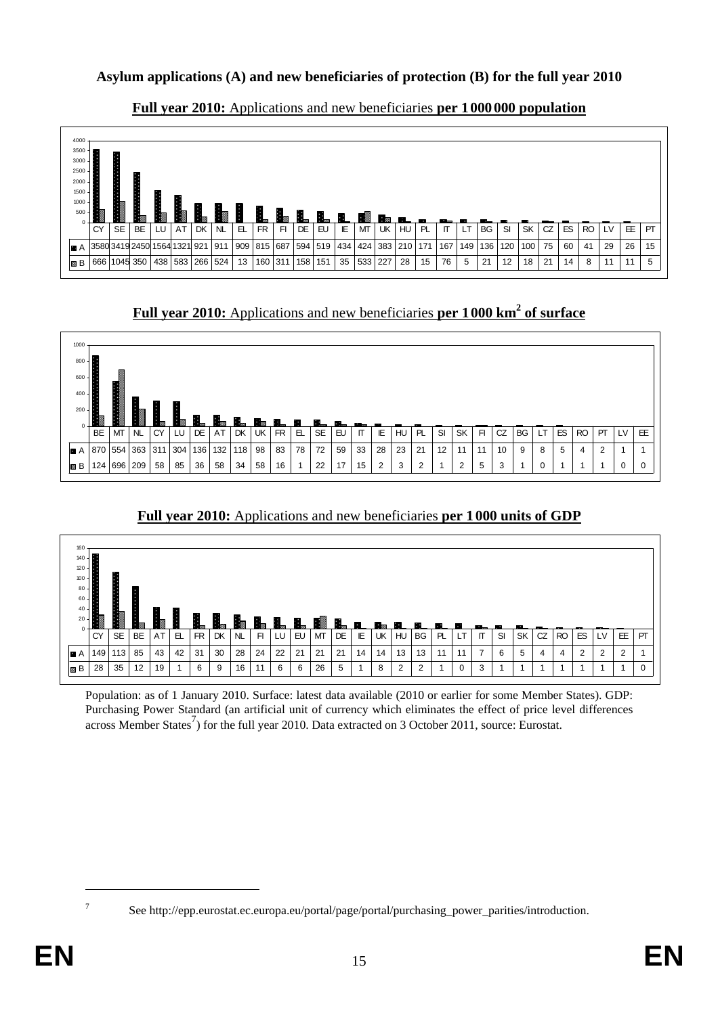## **Asylum applications (A) and new beneficiaries of protection (B) for the full year 2010**



## **Full year 2010:** Applications and new beneficiaries **per 1000 000 population**

**Full year 2010:** Applications and new beneficiaries **per 1000 km<sup>2</sup> of surface** 



# **Full year 2010:** Applications and new beneficiaries **per 1000 units of GDP**



Population: as of 1 January 2010. Surface: latest data available (2010 or earlier for some Member States). GDP: Purchasing Power Standard (an artificial unit of currency which eliminates the effect of price level differences across Member States<sup>7</sup>) for the full year 2010. Data extracted on 3 October 2011, source: Eurostat.

See http://epp.eurostat.ec.europa.eu/portal/page/portal/purchasing\_power\_parities/introduction.